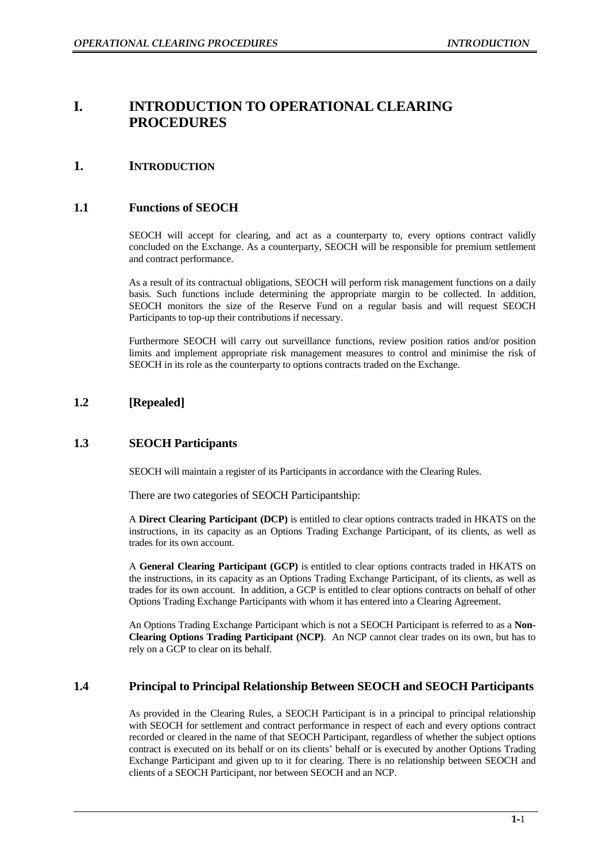# **I. INTRODUCTION TO OPERATIONAL CLEARING PROCEDURES**

# **1. INTRODUCTION**

# **1.1 Functions of SEOCH**

SEOCH will accept for clearing, and act as a counterparty to, every options contract validly concluded on the Exchange. As a counterparty, SEOCH will be responsible for premium settlement and contract performance.

As a result of its contractual obligations, SEOCH will perform risk management functions on a daily basis. Such functions include determining the appropriate margin to be collected. In addition, SEOCH monitors the size of the Reserve Fund on a regular basis and will request SEOCH Participants to top-up their contributions if necessary.

Furthermore SEOCH will carry out surveillance functions, review position ratios and/or position limits and implement appropriate risk management measures to control and minimise the risk of SEOCH in its role as the counterparty to options contracts traded on the Exchange.

# **1.2 [Repealed]**

# **1.3 SEOCH Participants**

SEOCH will maintain a register of its Participants in accordance with the Clearing Rules.

There are two categories of SEOCH Participantship:

A **Direct Clearing Participant (DCP)** is entitled to clear options contracts traded in HKATS on the instructions, in its capacity as an Options Trading Exchange Participant, of its clients, as well as trades for its own account.

A **General Clearing Participant (GCP)** is entitled to clear options contracts traded in HKATS on the instructions, in its capacity as an Options Trading Exchange Participant, of its clients, as well as trades for its own account. In addition, a GCP is entitled to clear options contracts on behalf of other Options Trading Exchange Participants with whom it has entered into a Clearing Agreement.

An Options Trading Exchange Participant which is not a SEOCH Participant is referred to as a **Non-Clearing Options Trading Participant (NCP)**. An NCP cannot clear trades on its own, but has to rely on a GCP to clear on its behalf.

# **1.4 Principal to Principal Relationship Between SEOCH and SEOCH Participants**

As provided in the Clearing Rules, a SEOCH Participant is in a principal to principal relationship with SEOCH for settlement and contract performance in respect of each and every options contract recorded or cleared in the name of that SEOCH Participant, regardless of whether the subject options contract is executed on its behalf or on its clients' behalf or is executed by another Options Trading Exchange Participant and given up to it for clearing. There is no relationship between SEOCH and clients of a SEOCH Participant, nor between SEOCH and an NCP.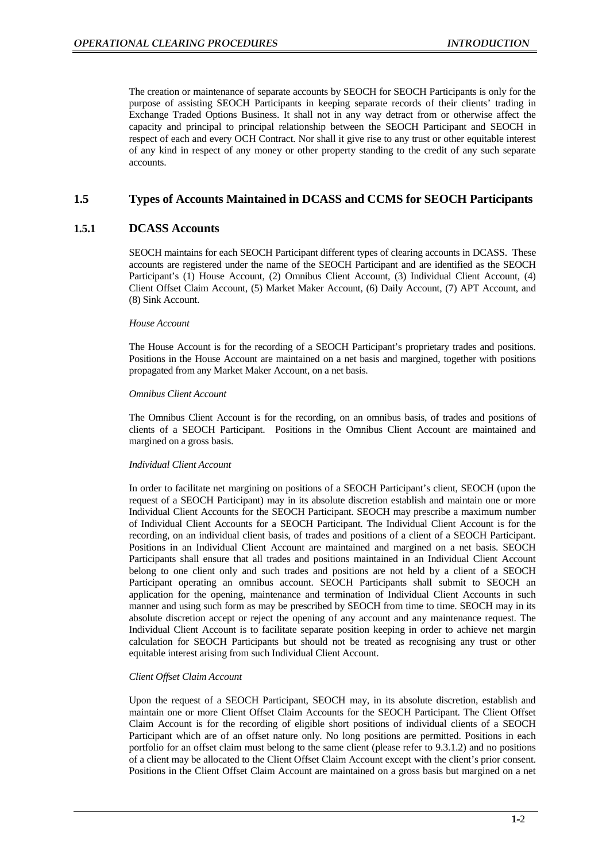The creation or maintenance of separate accounts by SEOCH for SEOCH Participants is only for the purpose of assisting SEOCH Participants in keeping separate records of their clients' trading in Exchange Traded Options Business. It shall not in any way detract from or otherwise affect the capacity and principal to principal relationship between the SEOCH Participant and SEOCH in respect of each and every OCH Contract. Nor shall it give rise to any trust or other equitable interest of any kind in respect of any money or other property standing to the credit of any such separate accounts.

## **1.5 Types of Accounts Maintained in DCASS and CCMS for SEOCH Participants**

## **1.5.1 DCASS Accounts**

SEOCH maintains for each SEOCH Participant different types of clearing accounts in DCASS. These accounts are registered under the name of the SEOCH Participant and are identified as the SEOCH Participant's (1) House Account, (2) Omnibus Client Account, (3) Individual Client Account, (4) Client Offset Claim Account, (5) Market Maker Account, (6) Daily Account, (7) APT Account, and (8) Sink Account.

## *House Account*

The House Account is for the recording of a SEOCH Participant's proprietary trades and positions. Positions in the House Account are maintained on a net basis and margined, together with positions propagated from any Market Maker Account, on a net basis.

## *Omnibus Client Account*

The Omnibus Client Account is for the recording, on an omnibus basis, of trades and positions of clients of a SEOCH Participant. Positions in the Omnibus Client Account are maintained and margined on a gross basis.

### *Individual Client Account*

In order to facilitate net margining on positions of a SEOCH Participant's client, SEOCH (upon the request of a SEOCH Participant) may in its absolute discretion establish and maintain one or more Individual Client Accounts for the SEOCH Participant. SEOCH may prescribe a maximum number of Individual Client Accounts for a SEOCH Participant. The Individual Client Account is for the recording, on an individual client basis, of trades and positions of a client of a SEOCH Participant. Positions in an Individual Client Account are maintained and margined on a net basis. SEOCH Participants shall ensure that all trades and positions maintained in an Individual Client Account belong to one client only and such trades and positions are not held by a client of a SEOCH Participant operating an omnibus account. SEOCH Participants shall submit to SEOCH an application for the opening, maintenance and termination of Individual Client Accounts in such manner and using such form as may be prescribed by SEOCH from time to time. SEOCH may in its absolute discretion accept or reject the opening of any account and any maintenance request. The Individual Client Account is to facilitate separate position keeping in order to achieve net margin calculation for SEOCH Participants but should not be treated as recognising any trust or other equitable interest arising from such Individual Client Account.

## *Client Offset Claim Account*

Upon the request of a SEOCH Participant, SEOCH may, in its absolute discretion, establish and maintain one or more Client Offset Claim Accounts for the SEOCH Participant. The Client Offset Claim Account is for the recording of eligible short positions of individual clients of a SEOCH Participant which are of an offset nature only. No long positions are permitted. Positions in each portfolio for an offset claim must belong to the same client (please refer to 9.3.1.2) and no positions of a client may be allocated to the Client Offset Claim Account except with the client's prior consent. Positions in the Client Offset Claim Account are maintained on a gross basis but margined on a net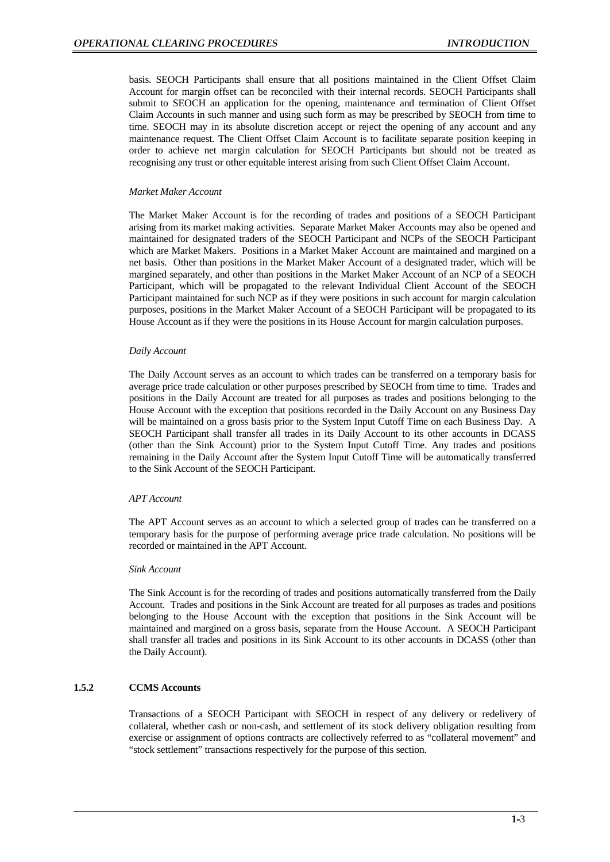basis. SEOCH Participants shall ensure that all positions maintained in the Client Offset Claim Account for margin offset can be reconciled with their internal records. SEOCH Participants shall submit to SEOCH an application for the opening, maintenance and termination of Client Offset Claim Accounts in such manner and using such form as may be prescribed by SEOCH from time to time. SEOCH may in its absolute discretion accept or reject the opening of any account and any maintenance request. The Client Offset Claim Account is to facilitate separate position keeping in order to achieve net margin calculation for SEOCH Participants but should not be treated as recognising any trust or other equitable interest arising from such Client Offset Claim Account.

## *Market Maker Account*

The Market Maker Account is for the recording of trades and positions of a SEOCH Participant arising from its market making activities. Separate Market Maker Accounts may also be opened and maintained for designated traders of the SEOCH Participant and NCPs of the SEOCH Participant which are Market Makers. Positions in a Market Maker Account are maintained and margined on a net basis. Other than positions in the Market Maker Account of a designated trader, which will be margined separately, and other than positions in the Market Maker Account of an NCP of a SEOCH Participant, which will be propagated to the relevant Individual Client Account of the SEOCH Participant maintained for such NCP as if they were positions in such account for margin calculation purposes, positions in the Market Maker Account of a SEOCH Participant will be propagated to its House Account as if they were the positions in its House Account for margin calculation purposes.

### *Daily Account*

The Daily Account serves as an account to which trades can be transferred on a temporary basis for average price trade calculation or other purposes prescribed by SEOCH from time to time. Trades and positions in the Daily Account are treated for all purposes as trades and positions belonging to the House Account with the exception that positions recorded in the Daily Account on any Business Day will be maintained on a gross basis prior to the System Input Cutoff Time on each Business Day. A SEOCH Participant shall transfer all trades in its Daily Account to its other accounts in DCASS (other than the Sink Account) prior to the System Input Cutoff Time. Any trades and positions remaining in the Daily Account after the System Input Cutoff Time will be automatically transferred to the Sink Account of the SEOCH Participant.

## *APT Account*

The APT Account serves as an account to which a selected group of trades can be transferred on a temporary basis for the purpose of performing average price trade calculation. No positions will be recorded or maintained in the APT Account.

#### *Sink Account*

The Sink Account is for the recording of trades and positions automatically transferred from the Daily Account. Trades and positions in the Sink Account are treated for all purposes as trades and positions belonging to the House Account with the exception that positions in the Sink Account will be maintained and margined on a gross basis, separate from the House Account. A SEOCH Participant shall transfer all trades and positions in its Sink Account to its other accounts in DCASS (other than the Daily Account).

## **1.5.2 CCMS Accounts**

Transactions of a SEOCH Participant with SEOCH in respect of any delivery or redelivery of collateral, whether cash or non-cash, and settlement of its stock delivery obligation resulting from exercise or assignment of options contracts are collectively referred to as "collateral movement" and "stock settlement" transactions respectively for the purpose of this section.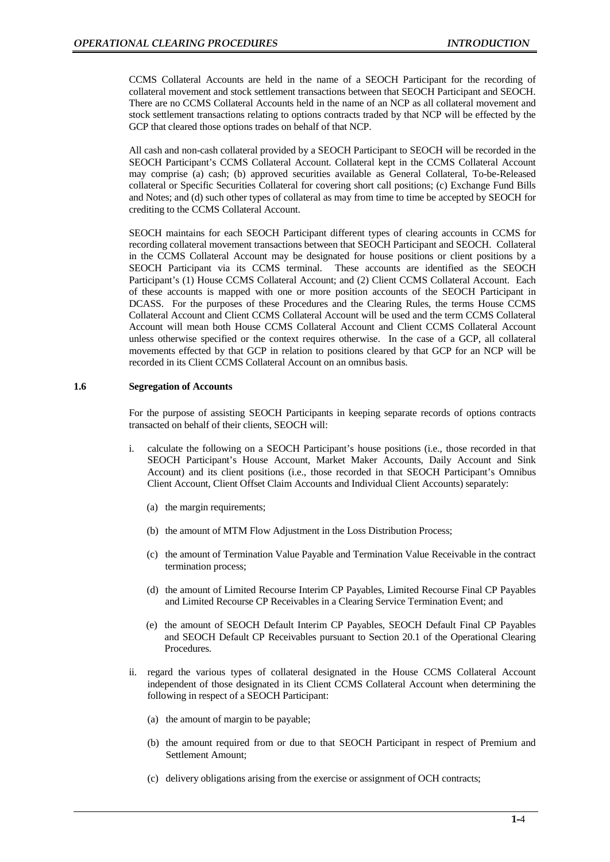CCMS Collateral Accounts are held in the name of a SEOCH Participant for the recording of collateral movement and stock settlement transactions between that SEOCH Participant and SEOCH. There are no CCMS Collateral Accounts held in the name of an NCP as all collateral movement and stock settlement transactions relating to options contracts traded by that NCP will be effected by the GCP that cleared those options trades on behalf of that NCP.

All cash and non-cash collateral provided by a SEOCH Participant to SEOCH will be recorded in the SEOCH Participant's CCMS Collateral Account. Collateral kept in the CCMS Collateral Account may comprise (a) cash; (b) approved securities available as General Collateral, To-be-Released collateral or Specific Securities Collateral for covering short call positions; (c) Exchange Fund Bills and Notes; and (d) such other types of collateral as may from time to time be accepted by SEOCH for crediting to the CCMS Collateral Account.

SEOCH maintains for each SEOCH Participant different types of clearing accounts in CCMS for recording collateral movement transactions between that SEOCH Participant and SEOCH. Collateral in the CCMS Collateral Account may be designated for house positions or client positions by a SEOCH Participant via its CCMS terminal. These accounts are identified as the SEOCH Participant's (1) House CCMS Collateral Account; and (2) Client CCMS Collateral Account. Each of these accounts is mapped with one or more position accounts of the SEOCH Participant in DCASS. For the purposes of these Procedures and the Clearing Rules, the terms House CCMS Collateral Account and Client CCMS Collateral Account will be used and the term CCMS Collateral Account will mean both House CCMS Collateral Account and Client CCMS Collateral Account unless otherwise specified or the context requires otherwise. In the case of a GCP, all collateral movements effected by that GCP in relation to positions cleared by that GCP for an NCP will be recorded in its Client CCMS Collateral Account on an omnibus basis.

## **1.6 Segregation of Accounts**

For the purpose of assisting SEOCH Participants in keeping separate records of options contracts transacted on behalf of their clients, SEOCH will:

- i. calculate the following on a SEOCH Participant's house positions (i.e., those recorded in that SEOCH Participant's House Account, Market Maker Accounts, Daily Account and Sink Account) and its client positions (i.e., those recorded in that SEOCH Participant's Omnibus Client Account, Client Offset Claim Accounts and Individual Client Accounts) separately:
	- (a) the margin requirements;
	- (b) the amount of MTM Flow Adjustment in the Loss Distribution Process;
	- (c) the amount of Termination Value Payable and Termination Value Receivable in the contract termination process;
	- (d) the amount of Limited Recourse Interim CP Payables, Limited Recourse Final CP Payables and Limited Recourse CP Receivables in a Clearing Service Termination Event; and
	- (e) the amount of SEOCH Default Interim CP Payables, SEOCH Default Final CP Payables and SEOCH Default CP Receivables pursuant to Section 20.1 of the Operational Clearing Procedures.
- ii. regard the various types of collateral designated in the House CCMS Collateral Account independent of those designated in its Client CCMS Collateral Account when determining the following in respect of a SEOCH Participant:
	- (a) the amount of margin to be payable;
	- (b) the amount required from or due to that SEOCH Participant in respect of Premium and Settlement Amount;
	- (c) delivery obligations arising from the exercise or assignment of OCH contracts;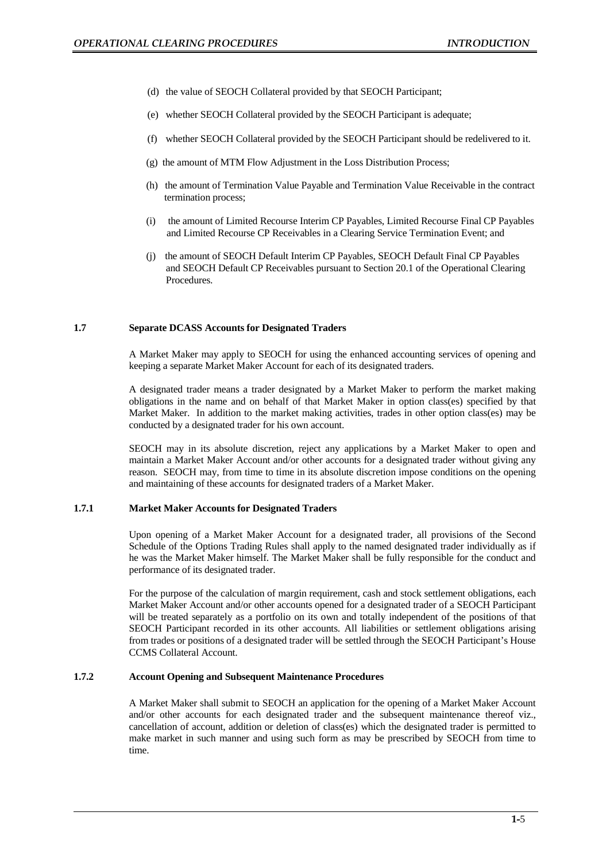- (d) the value of SEOCH Collateral provided by that SEOCH Participant;
- (e) whether SEOCH Collateral provided by the SEOCH Participant is adequate;
- (f) whether SEOCH Collateral provided by the SEOCH Participant should be redelivered to it.
- (g) the amount of MTM Flow Adjustment in the Loss Distribution Process;
- (h) the amount of Termination Value Payable and Termination Value Receivable in the contract termination process;
- (i) the amount of Limited Recourse Interim CP Payables, Limited Recourse Final CP Payables and Limited Recourse CP Receivables in a Clearing Service Termination Event; and
- (j) the amount of SEOCH Default Interim CP Payables, SEOCH Default Final CP Payables and SEOCH Default CP Receivables pursuant to Section 20.1 of the Operational Clearing Procedures.

## **1.7 Separate DCASS Accounts for Designated Traders**

A Market Maker may apply to SEOCH for using the enhanced accounting services of opening and keeping a separate Market Maker Account for each of its designated traders.

A designated trader means a trader designated by a Market Maker to perform the market making obligations in the name and on behalf of that Market Maker in option class(es) specified by that Market Maker. In addition to the market making activities, trades in other option class(es) may be conducted by a designated trader for his own account.

SEOCH may in its absolute discretion, reject any applications by a Market Maker to open and maintain a Market Maker Account and/or other accounts for a designated trader without giving any reason. SEOCH may, from time to time in its absolute discretion impose conditions on the opening and maintaining of these accounts for designated traders of a Market Maker.

### **1.7.1 Market Maker Accounts for Designated Traders**

Upon opening of a Market Maker Account for a designated trader, all provisions of the Second Schedule of the Options Trading Rules shall apply to the named designated trader individually as if he was the Market Maker himself. The Market Maker shall be fully responsible for the conduct and performance of its designated trader.

For the purpose of the calculation of margin requirement, cash and stock settlement obligations, each Market Maker Account and/or other accounts opened for a designated trader of a SEOCH Participant will be treated separately as a portfolio on its own and totally independent of the positions of that SEOCH Participant recorded in its other accounts. All liabilities or settlement obligations arising from trades or positions of a designated trader will be settled through the SEOCH Participant's House CCMS Collateral Account.

## **1.7.2 Account Opening and Subsequent Maintenance Procedures**

A Market Maker shall submit to SEOCH an application for the opening of a Market Maker Account and/or other accounts for each designated trader and the subsequent maintenance thereof viz., cancellation of account, addition or deletion of class(es) which the designated trader is permitted to make market in such manner and using such form as may be prescribed by SEOCH from time to time.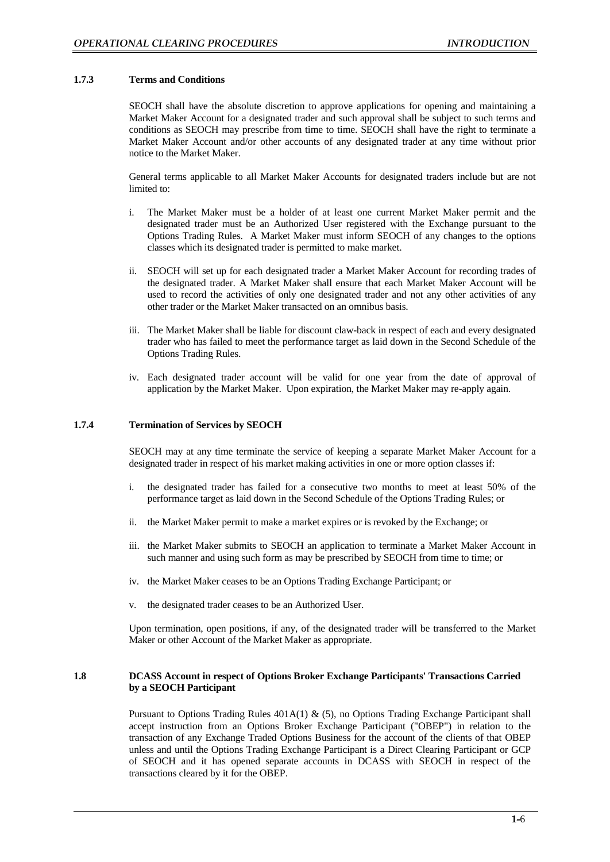## **1.7.3 Terms and Conditions**

SEOCH shall have the absolute discretion to approve applications for opening and maintaining a Market Maker Account for a designated trader and such approval shall be subject to such terms and conditions as SEOCH may prescribe from time to time. SEOCH shall have the right to terminate a Market Maker Account and/or other accounts of any designated trader at any time without prior notice to the Market Maker.

General terms applicable to all Market Maker Accounts for designated traders include but are not limited to:

- i. The Market Maker must be a holder of at least one current Market Maker permit and the designated trader must be an Authorized User registered with the Exchange pursuant to the Options Trading Rules. A Market Maker must inform SEOCH of any changes to the options classes which its designated trader is permitted to make market.
- ii. SEOCH will set up for each designated trader a Market Maker Account for recording trades of the designated trader. A Market Maker shall ensure that each Market Maker Account will be used to record the activities of only one designated trader and not any other activities of any other trader or the Market Maker transacted on an omnibus basis.
- iii. The Market Maker shall be liable for discount claw-back in respect of each and every designated trader who has failed to meet the performance target as laid down in the Second Schedule of the Options Trading Rules.
- iv. Each designated trader account will be valid for one year from the date of approval of application by the Market Maker. Upon expiration, the Market Maker may re-apply again.

## **1.7.4 Termination of Services by SEOCH**

SEOCH may at any time terminate the service of keeping a separate Market Maker Account for a designated trader in respect of his market making activities in one or more option classes if:

- i. the designated trader has failed for a consecutive two months to meet at least 50% of the performance target as laid down in the Second Schedule of the Options Trading Rules; or
- ii. the Market Maker permit to make a market expires or is revoked by the Exchange; or
- iii. the Market Maker submits to SEOCH an application to terminate a Market Maker Account in such manner and using such form as may be prescribed by SEOCH from time to time; or
- iv. the Market Maker ceases to be an Options Trading Exchange Participant; or
- v. the designated trader ceases to be an Authorized User.

Upon termination, open positions, if any, of the designated trader will be transferred to the Market Maker or other Account of the Market Maker as appropriate.

## **1.8 DCASS Account in respect of Options Broker Exchange Participants' Transactions Carried by a SEOCH Participant**

Pursuant to Options Trading Rules 401A(1) & (5), no Options Trading Exchange Participant shall accept instruction from an Options Broker Exchange Participant ("OBEP") in relation to the transaction of any Exchange Traded Options Business for the account of the clients of that OBEP unless and until the Options Trading Exchange Participant is a Direct Clearing Participant or GCP of SEOCH and it has opened separate accounts in DCASS with SEOCH in respect of the transactions cleared by it for the OBEP.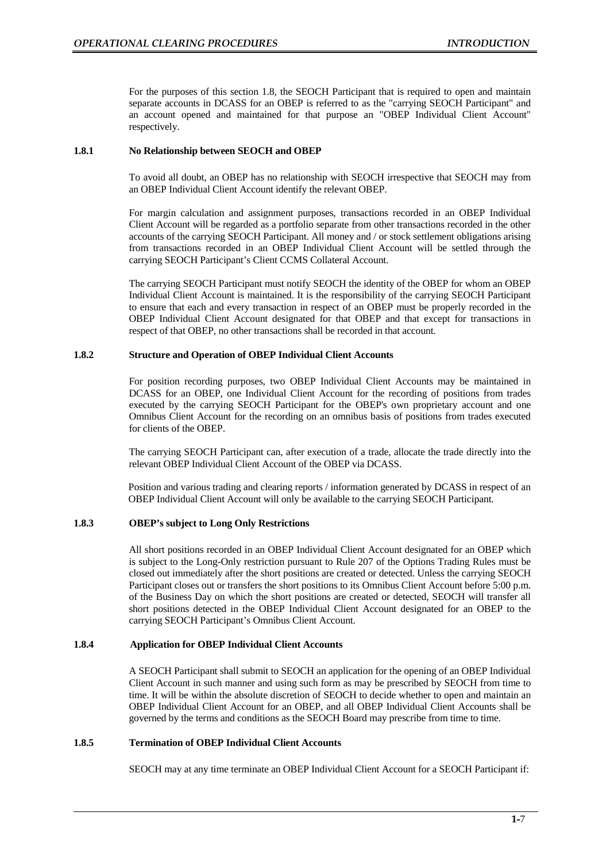For the purposes of this section 1.8, the SEOCH Participant that is required to open and maintain separate accounts in DCASS for an OBEP is referred to as the "carrying SEOCH Participant" and an account opened and maintained for that purpose an "OBEP Individual Client Account" respectively.

## **1.8.1 No Relationship between SEOCH and OBEP**

To avoid all doubt, an OBEP has no relationship with SEOCH irrespective that SEOCH may from an OBEP Individual Client Account identify the relevant OBEP.

For margin calculation and assignment purposes, transactions recorded in an OBEP Individual Client Account will be regarded as a portfolio separate from other transactions recorded in the other accounts of the carrying SEOCH Participant. All money and / or stock settlement obligations arising from transactions recorded in an OBEP Individual Client Account will be settled through the carrying SEOCH Participant's Client CCMS Collateral Account.

The carrying SEOCH Participant must notify SEOCH the identity of the OBEP for whom an OBEP Individual Client Account is maintained. It is the responsibility of the carrying SEOCH Participant to ensure that each and every transaction in respect of an OBEP must be properly recorded in the OBEP Individual Client Account designated for that OBEP and that except for transactions in respect of that OBEP, no other transactions shall be recorded in that account.

## **1.8.2 Structure and Operation of OBEP Individual Client Accounts**

For position recording purposes, two OBEP Individual Client Accounts may be maintained in DCASS for an OBEP, one Individual Client Account for the recording of positions from trades executed by the carrying SEOCH Participant for the OBEP's own proprietary account and one Omnibus Client Account for the recording on an omnibus basis of positions from trades executed for clients of the OBEP.

The carrying SEOCH Participant can, after execution of a trade, allocate the trade directly into the relevant OBEP Individual Client Account of the OBEP via DCASS.

Position and various trading and clearing reports / information generated by DCASS in respect of an OBEP Individual Client Account will only be available to the carrying SEOCH Participant.

## **1.8.3 OBEP's subject to Long Only Restrictions**

All short positions recorded in an OBEP Individual Client Account designated for an OBEP which is subject to the Long-Only restriction pursuant to Rule 207 of the Options Trading Rules must be closed out immediately after the short positions are created or detected. Unless the carrying SEOCH Participant closes out or transfers the short positions to its Omnibus Client Account before 5:00 p.m. of the Business Day on which the short positions are created or detected, SEOCH will transfer all short positions detected in the OBEP Individual Client Account designated for an OBEP to the carrying SEOCH Participant's Omnibus Client Account.

## **1.8.4 Application for OBEP Individual Client Accounts**

A SEOCH Participant shall submit to SEOCH an application for the opening of an OBEP Individual Client Account in such manner and using such form as may be prescribed by SEOCH from time to time. It will be within the absolute discretion of SEOCH to decide whether to open and maintain an OBEP Individual Client Account for an OBEP, and all OBEP Individual Client Accounts shall be governed by the terms and conditions as the SEOCH Board may prescribe from time to time.

## **1.8.5 Termination of OBEP Individual Client Accounts**

SEOCH may at any time terminate an OBEP Individual Client Account for a SEOCH Participant if: